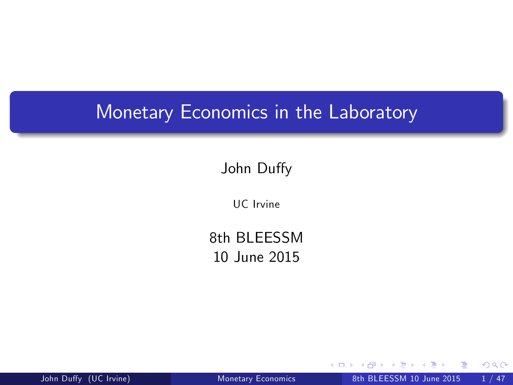#### Monetary Economics in the Laboratory

John Duffy

UC Irvine

8th BI FFSSM 10 June 2015

John Duffy (UC Irvine) [Monetary Economics](#page-47-0) 8th BLEESSM 10 June 2015 1/47

4 0 8

<span id="page-0-0"></span> $299$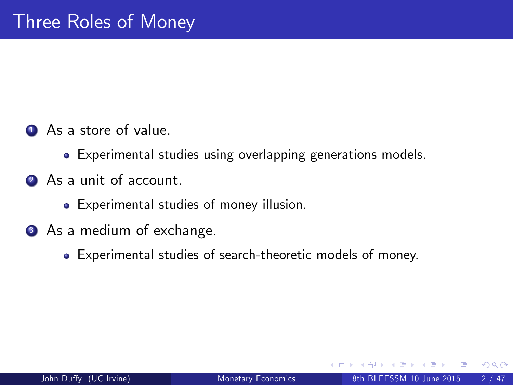- **4** As a store of value.
	- Experimental studies using overlapping generations models.
- 2 As a unit of account.
	- Experimental studies of money illusion.
- <span id="page-1-0"></span>**3** As a medium of exchange.
	- Experimental studies of search-theoretic models of money.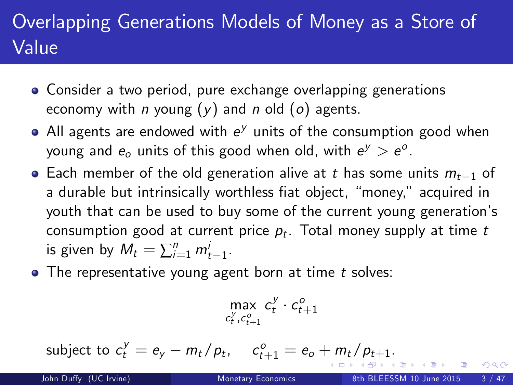## Overlapping Generations Models of Money as a Store of Value

- Consider a two period, pure exchange overlapping generations economy with *n* young  $(y)$  and *n* old  $(o)$  agents.
- All agents are endowed with  $e^y$  units of the consumption good when young and  $e_o$  units of this good when old, with  $e^y > e^o$ .
- Each member of the old generation alive at t has some units  $m_{t-1}$  of a durable but intrinsically worthless fiat object, "money," acquired in youth that can be used to buy some of the current young generation's consumption good at current price  $\rho_t$ . Total money supply at time  $t$ is given by  $M_t = \sum_{i=1}^n m_{t-1}^i$ .
- $\bullet$  The representative young agent born at time t solves:

$$
\max_{c_t^y, c_{t+1}^o} c_t^y \cdot c_{t+1}^o
$$

subjec[t](#page-2-0) to  $c_t^y = e_y - m_t/p_t$  $c_t^y = e_y - m_t/p_t$  $c_t^y = e_y - m_t/p_t$ ,  $c_{t+1}^o = e_o + m_t/p_{t+1}$  $c_{t+1}^o = e_o + m_t/p_{t+1}$  $c_{t+1}^o = e_o + m_t/p_{t+1}$  $c_{t+1}^o = e_o + m_t/p_{t+1}$ [.](#page-0-0)

<span id="page-2-0"></span> $200$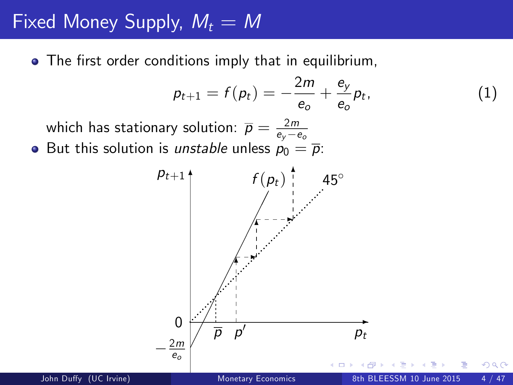## Fixed Money Supply,  $M_t = M$

• The first order conditions imply that in equilibrium,

$$
p_{t+1}=f(p_t)=-\frac{2m}{e_o}+\frac{e_y}{e_o}p_t,
$$

<span id="page-3-0"></span> $(1)$ 

which has stationary solution:  $\overline{p} = \frac{2m}{e_y - e_o}$ 

• But this solution is *unstable* unless  $p_0 = \overline{p}$ :

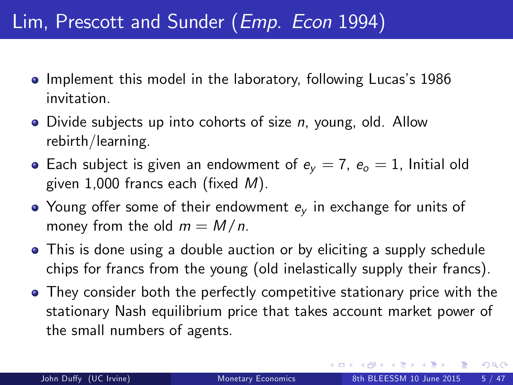## Lim, Prescott and Sunder (Emp. Econ 1994)

- Implement this model in the laboratory, following Lucas's 1986 invitation.
- $\bullet$  Divide subjects up into cohorts of size n, young, old. Allow rebirth/learning.
- Each subject is given an endowment of  $e_y = 7$ ,  $e_o = 1$ , Initial old given 1,000 francs each (fixed  $M$ ).
- Young offer some of their endowment  $e<sub>v</sub>$  in exchange for units of money from the old  $m = M/n$ .
- This is done using a double auction or by eliciting a supply schedule chips for francs from the young (old inelastically supply their francs).
- They consider both the perfectly competitive stationary price with the stationary Nash equilibrium price that takes account market power of the small numbers of agents.

 $QQ$ 

イロト イ押ト イヨト イヨト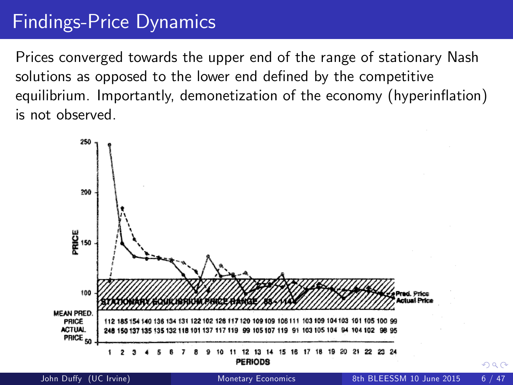## Findings-Price Dynamics

Prices converged towards the upper end of the range of stationary Nash solutions as opposed to the lower end defined by the competitive equilibrium. Importantly, demonetization of the economy (hyperinflation) is not observed.



<span id="page-5-0"></span>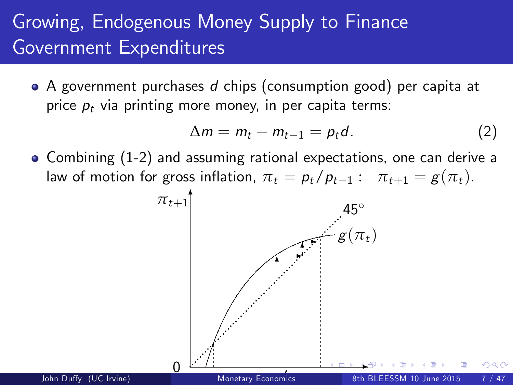## Growing, Endogenous Money Supply to Finance Government Expenditures

• A government purchases d chips (consumption good) per capita at price  $p_t$  via printing more money, in per capita terms:

<span id="page-6-0"></span>
$$
\Delta m = m_t - m_{t-1} = p_t d. \tag{2}
$$

• Combining (1-2) and assuming rational expectations, one can derive a law of motion for gross inflation,  $\pi_t = p_t/p_{t-1}$ :  $\pi_{t+1} = g(\pi_t)$ .<br> $\pi_{t+1}$ <sup>†</sup>

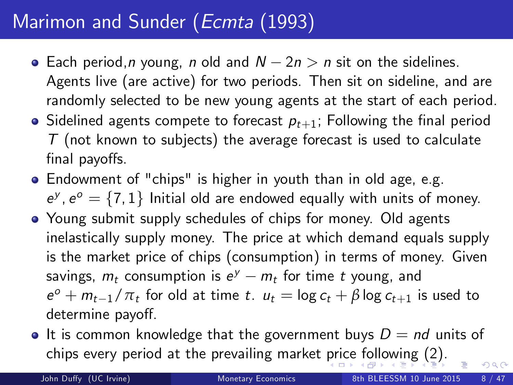## Marimon and Sunder (Ecmta (1993)

- Each period, *n* young, *n* old and  $N 2n > n$  sit on the sidelines. Agents live (are active) for two periods. Then sit on sideline, and are randomly selected to be new young agents at the start of each period.
- Sidelined agents compete to forecast  $p_{t+1}$ ; Following the final period  $T$  (not known to subjects) the average forecast is used to calculate final payoffs.
- Endowment of "chips" is higher in youth than in old age, e.g.  $e^y$ ,  $e^o = \{7, 1\}$  Initial old are endowed equally with units of money.
- Young submit supply schedules of chips for money. Old agents inelastically supply money. The price at which demand equals supply is the market price of chips (consumption) in terms of money. Given savings,  $m_t$  consumption is  $e^y - m_t$  for time t young, and  $e^o + m_{t-1}/\pi_t$  for old at time t.  $u_t = \log c_t + \beta \log c_{t+1}$  is used to determine payoff.
- It is common knowledge that the government buys  $D = nd$  units of chips every period at the prevailing market [pr](#page-6-0)i[ce](#page-8-0) [f](#page-6-0)[ol](#page-7-0)[lo](#page-8-0)[wi](#page-0-0)[ng](#page-47-0) [\(2](#page-0-0)[\).](#page-47-0)  $\Omega$

<span id="page-7-0"></span>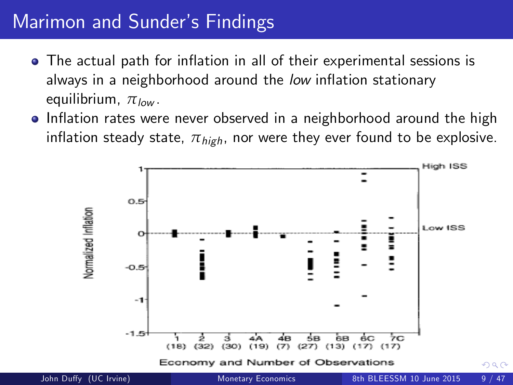## Marimon and Sunder's Findings

- The actual path for inflation in all of their experimental sessions is always in a neighborhood around the low inflation stationary equilibrium,  $π_{low}$ .
- Inflation rates were never observed in a neighborhood around the high inflation steady state,  $\pi_{\text{high}}$ , nor were they ever found to be explosive.

<span id="page-8-0"></span>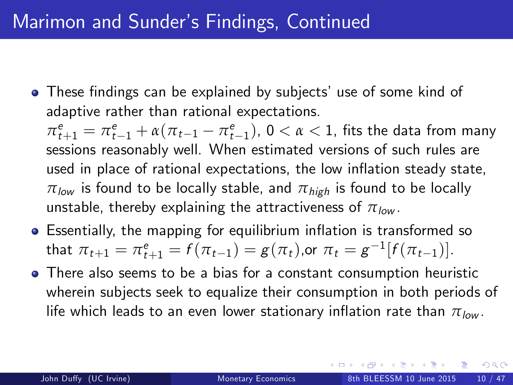• These findings can be explained by subjects' use of some kind of adaptive rather than rational expectations.

 $\pi^e_{t+1} = \pi^e_{t-1} + \alpha(\pi_{t-1} - \pi^e_{t-1}), 0 < \alpha < 1$ , fits the data from many sessions reasonably well. When estimated versions of such rules are used in place of rational expectations, the low inflation steady state,  $\pi_{\text{low}}$  is found to be locally stable, and  $\pi_{\text{high}}$  is found to be locally unstable, thereby explaining the attractiveness of  $\pi_{low}$ .

- Essentially, the mapping for equilibrium inflation is transformed so that  $\pi_{t+1} = \pi_{t+1}^e = f(\pi_{t-1}) = g(\pi_t)$ ,or  $\pi_t = g^{-1}[f(\pi_{t-1})]$ .
- <span id="page-9-0"></span>There also seems to be a bias for a constant consumption heuristic wherein subjects seek to equalize their consumption in both periods of life which leads to an even lower stationary inflation rate than  $\pi_{low}$ .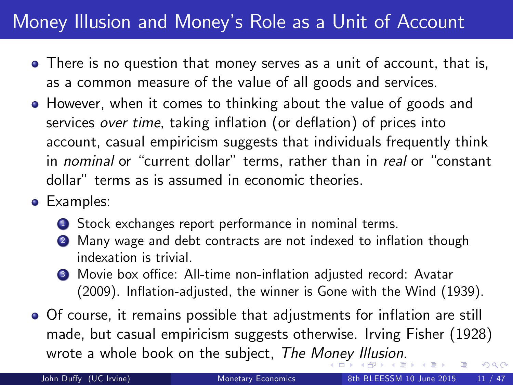## Money Illusion and Moneyís Role as a Unit of Account

- There is no question that money serves as a unit of account, that is, as a common measure of the value of all goods and services.
- However, when it comes to thinking about the value of goods and services over time, taking inflation (or deflation) of prices into account, casual empiricism suggests that individuals frequently think in nominal or "current dollar" terms, rather than in real or "constant dollar" terms as is assumed in economic theories.
- **•** Examples:
	- **1** Stock exchanges report performance in nominal terms.
	- Many wage and debt contracts are not indexed to inflation though indexation is trivial.
	- <sup>3</sup> Movie box office: All-time non-inflation adjusted record: Avatar (2009). Inflation-adjusted, the winner is Gone with the Wind (1939).
- Of course, it remains possible that adjustments for inflation are still made, but casual empiricism suggests otherwise. Irving Fisher (1928) wrote a whole book on the subject, The M[on](#page-9-0)e[y](#page-11-0) [Il](#page-9-0)[lu](#page-10-0)[si](#page-11-0)[on](#page-0-0)[.](#page-47-0)  $\Omega$

<span id="page-10-0"></span>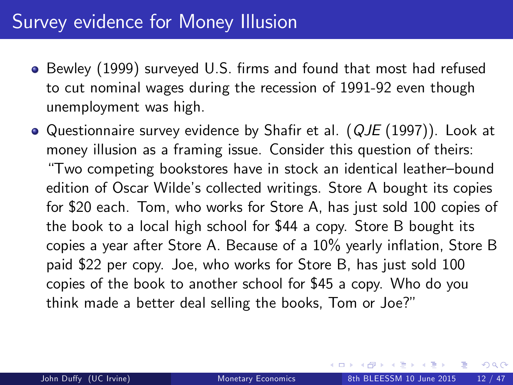### Survey evidence for Money Illusion

- Bewley (1999) surveyed U.S. firms and found that most had refused to cut nominal wages during the recession of 1991-92 even though unemployment was high.
- <span id="page-11-0"></span> $\bullet$  Questionnaire survey evidence by Shafir et al. ( $QJE$  (1997)). Look at money illusion as a framing issue. Consider this question of theirs: ìTwo competing bookstores have in stock an identical leatherñbound edition of Oscar Wilde's collected writings. Store A bought its copies for \$20 each. Tom, who works for Store A, has just sold 100 copies of the book to a local high school for \$44 a copy. Store B bought its copies a year after Store A. Because of a  $10\%$  yearly inflation, Store B paid \$22 per copy. Joe, who works for Store B, has just sold 100 copies of the book to another school for \$45 a copy. Who do you think made a better deal selling the books, Tom or Joe?"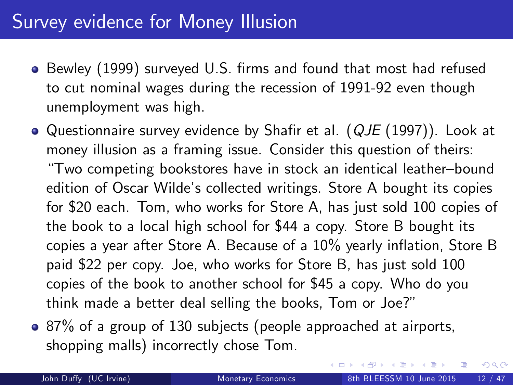### Survey evidence for Money Illusion

- Bewley (1999) surveyed U.S. firms and found that most had refused to cut nominal wages during the recession of 1991-92 even though unemployment was high.
- $\bullet$  Questionnaire survey evidence by Shafir et al. ( $QJE$  (1997)). Look at money illusion as a framing issue. Consider this question of theirs: ìTwo competing bookstores have in stock an identical leatherñbound edition of Oscar Wilde's collected writings. Store A bought its copies for \$20 each. Tom, who works for Store A, has just sold 100 copies of the book to a local high school for \$44 a copy. Store B bought its copies a year after Store A. Because of a  $10\%$  yearly inflation, Store B paid \$22 per copy. Joe, who works for Store B, has just sold 100 copies of the book to another school for \$45 a copy. Who do you think made a better deal selling the books, Tom or Joe?"
- 87% of a group of 130 subjects (people approached at airports, shopping malls) incorrectly chose Tom.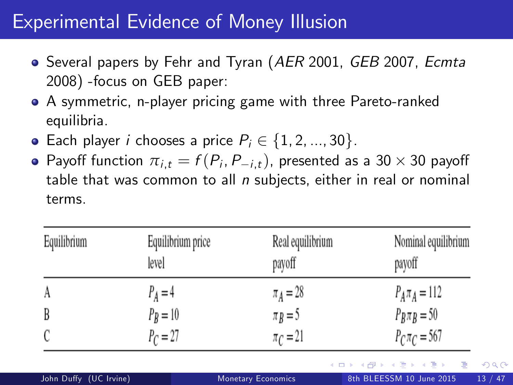### Experimental Evidence of Money Illusion

- Several papers by Fehr and Tyran (AER 2001, GEB 2007, Ecmta 2008) -focus on GEB paper:
- A symmetric, n-player pricing game with three Pareto-ranked equilibria.
- Each player *i* chooses a price  $P_i \in \{1, 2, ..., 30\}$ .
- Payoff function  $\pi_{i,t} = f(P_i, P_{-i,t})$ , presented as a 30  $\times$  30 payoff table that was common to all  $n$  subjects, either in real or nominal terms.

| Equilibrium | Equilibrium price<br>level | Real equilibrium<br>payoff | Nominal equilibrium<br>payoff |
|-------------|----------------------------|----------------------------|-------------------------------|
| A           | $P_A = 4$                  | $\pi_A = 28$               | $P_A \pi_A = 112$             |
| B           | $P_B = 10$                 | $\pi_B = 5$                | $P_B \pi_B = 50$              |
|             | $P_C = 27$                 | $\pi$ <sub>C</sub> = 21    | $P_C \pi_C = 567$             |
|             |                            |                            | イロト イ母ト イヨト イヨト<br>- 134      |

John Duffy (UC Irvine) [Monetary Economics](#page-0-0) 8th BLEESSM 10 June 2015 13 / 47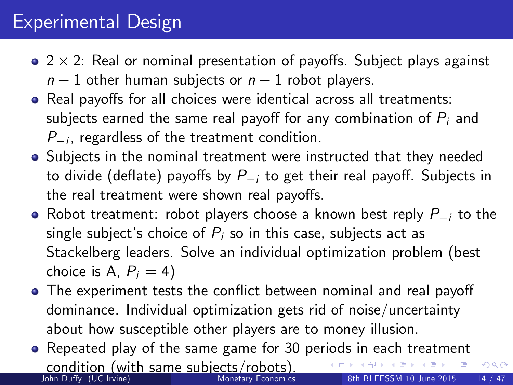## Experimental Design

- $2 \times 2$ : Real or nominal presentation of payoffs. Subject plays against  $n-1$  other human subjects or  $n-1$  robot players.
- Real payoffs for all choices were identical across all treatments: subjects earned the same real payoff for any combination of  $P_i$  and  $P_{-i}$ , regardless of the treatment condition.
- Subjects in the nominal treatment were instructed that they needed to divide (deflate) payoffs by  $P_{i}$  to get their real payoff. Subjects in the real treatment were shown real payoffs.
- Robot treatment: robot players choose a known best reply  $P_{-i}$  to the single subject's choice of  $P_i$  so in this case, subjects act as Stackelberg leaders. Solve an individual optimization problem (best choice is A,  $P_i = 4$ )
- The experiment tests the conflict between nominal and real payoff dominance. Individual optimization gets rid of noise/uncertainty about how susceptible other players are to money illusion.
- Repeated play of the same game for 30 periods in each treatment **condition (with same subjects/robots).**<br>John Duffy (UC Irvine) Monetary Economics 8th BLEESSM 10 June 2015 14 / 47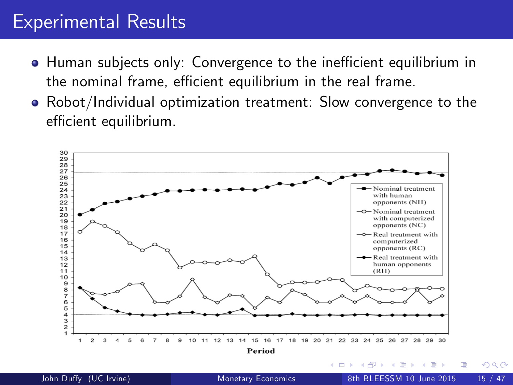### Experimental Results

- **Human subjects only: Convergence to the inefficient equilibrium in** the nominal frame, efficient equilibrium in the real frame.
- Robot/Individual optimization treatment: Slow convergence to the efficient equilibrium.

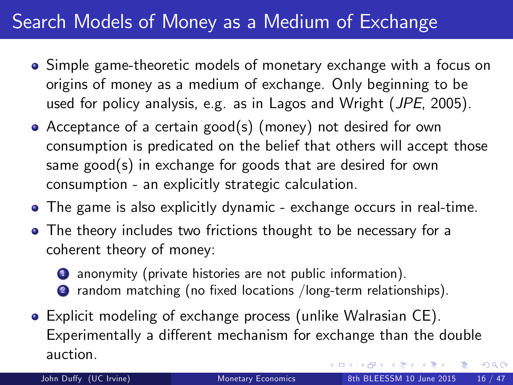## Search Models of Money as a Medium of Exchange

- Simple game-theoretic models of monetary exchange with a focus on origins of money as a medium of exchange. Only beginning to be used for policy analysis, e.g. as in Lagos and Wright (JPE, 2005).
- Acceptance of a certain good(s) (money) not desired for own consumption is predicated on the belief that others will accept those same good(s) in exchange for goods that are desired for own consumption - an explicitly strategic calculation.
- The game is also explicitly dynamic exchange occurs in real-time.
- The theory includes two frictions thought to be necessary for a coherent theory of money:
	- <sup>1</sup> anonymity (private histories are not public information). 2 random matching (no fixed locations /long-term relationships).
- Explicit modeling of exchange process (unlike Walrasian CE). Experimentally a different mechanism for exchange than the double auction.  $\mathcal{A} \cap \mathbb{P} \rightarrow \mathcal{A} \supseteq \mathcal{A} \rightarrow \mathcal{A} \supseteq \mathcal{A}$  $\Omega$

<span id="page-16-0"></span>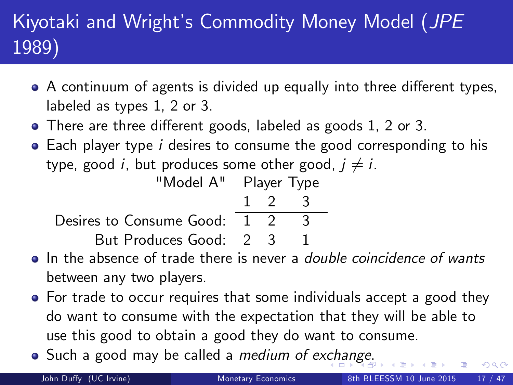## Kiyotaki and Wright's Commodity Money Model (JPE 1989)

- $\bullet$  A continuum of agents is divided up equally into three different types, labeled as types 1, 2 or 3.
- There are three different goods, labeled as goods 1, 2 or 3.
- Each player type *i* desires to consume the good corresponding to his type, good *i*, but produces some other good,  $j \neq i$ .

| "Model A" Player Type          |  |                     |  |
|--------------------------------|--|---------------------|--|
|                                |  | $1 \quad 2 \quad 3$ |  |
| Desires to Consume Good: 1 2 3 |  |                     |  |
| But Produces Good: 2 3         |  |                     |  |

- In the absence of trade there is never a *double coincidence of wants* between any two players.
- For trade to occur requires that some individuals accept a good they do want to consume with the expectation that they will be able to use this good to obtain a good they do want to consume.
- Su[ch](#page-16-0) a [g](#page-16-0)ood may b[e](#page-17-0) called a *medium of exch[an](#page-18-0)ge*[.](#page-17-0)

<span id="page-17-0"></span>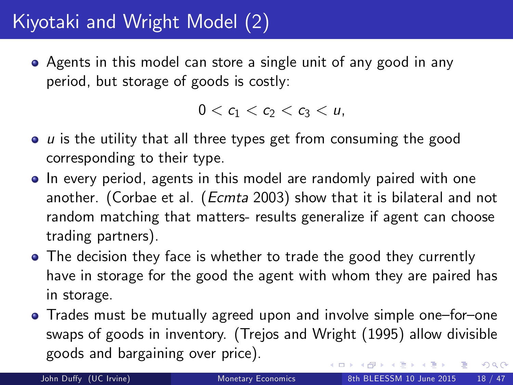## Kiyotaki and Wright Model (2)

Agents in this model can store a single unit of any good in any period, but storage of goods is costly:

<span id="page-18-0"></span> $0 < c_1 < c_2 < c_3 < u$ ,

- $\bullet$  u is the utility that all three types get from consuming the good corresponding to their type.
- In every period, agents in this model are randomly paired with one another. (Corbae et al. (Ecmta 2003) show that it is bilateral and not random matching that matters- results generalize if agent can choose trading partners).
- The decision they face is whether to trade the good they currently have in storage for the good the agent with whom they are paired has in storage.
- Trades must be mutually agreed upon and involve simple one-for-one swaps of goods in inventory. (Trejos and Wright (1995) allow divisible goods and bargaining over price).  $\left\{ \begin{array}{ccc} 1 & 0 & 0 \\ 0 & 1 & 0 \end{array} \right.$  $QQ$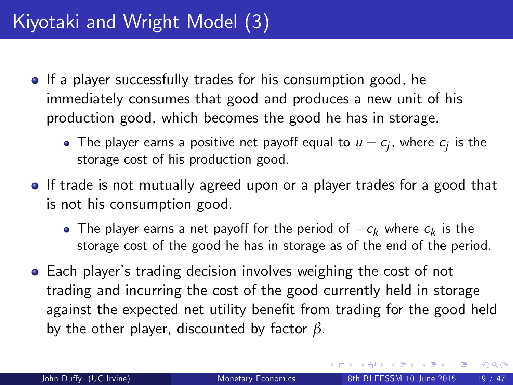- If a player successfully trades for his consumption good, he immediately consumes that good and produces a new unit of his production good, which becomes the good he has in storage.
	- The player earns a positive net payoff equal to  $u c_j$ , where  $c_j$  is the storage cost of his production good.
- If trade is not mutually agreed upon or a player trades for a good that is not his consumption good.
	- The player earns a net payoff for the period of  $-c_k$  where  $c_k$  is the storage cost of the good he has in storage as of the end of the period.
- **•** Each player's trading decision involves weighing the cost of not trading and incurring the cost of the good currently held in storage against the expected net utility benefit from trading for the good held by the other player, discounted by factor *β*.

<span id="page-19-0"></span> $QQ$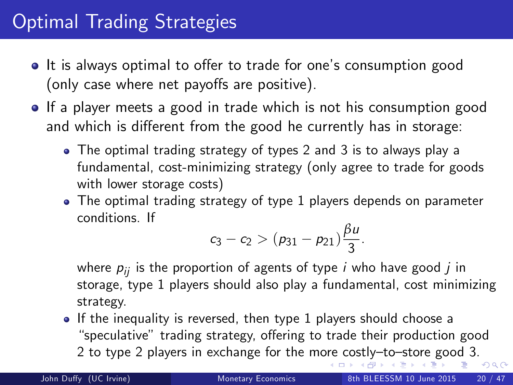- It is always optimal to offer to trade for one's consumption good (only case where net payoffs are positive).
- If a player meets a good in trade which is not his consumption good and which is different from the good he currently has in storage:
	- The optimal trading strategy of types 2 and 3 is to always play a fundamental, cost-minimizing strategy (only agree to trade for goods with lower storage costs)
	- The optimal trading strategy of type 1 players depends on parameter conditions. If

$$
c_3-c_2>(p_{31}-p_{21})\frac{\beta u}{3}.
$$

where  $p_{ii}$  is the proportion of agents of type *i* who have good *j* in storage, type 1 players should also play a fundamental, cost minimizing strategy.

• If the inequality is reversed, then type 1 players should choose a "speculative" trading strategy, offering to trade their production good 2 to type 2 players in exchange for the m[ore](#page-19-0) [co](#page-21-0)[st](#page-19-0)[ly](#page-20-0)-to-[sto](#page-47-0)[re](#page-0-0) [go](#page-47-0)[od](#page-0-0) [3.](#page-47-0)

<span id="page-20-0"></span>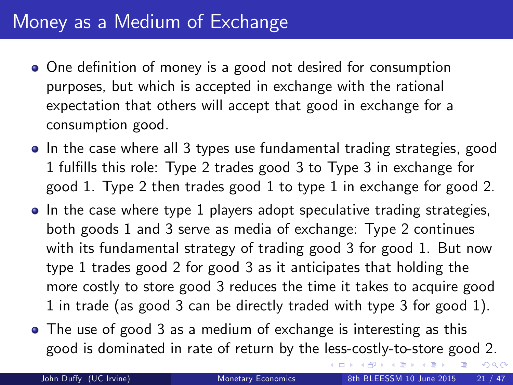### Money as a Medium of Exchange

- One definition of money is a good not desired for consumption purposes, but which is accepted in exchange with the rational expectation that others will accept that good in exchange for a consumption good.
- In the case where all 3 types use fundamental trading strategies, good 1 fulfills this role: Type 2 trades good 3 to Type 3 in exchange for good 1. Type 2 then trades good 1 to type 1 in exchange for good 2.
- In the case where type 1 players adopt speculative trading strategies, both goods 1 and 3 serve as media of exchange: Type 2 continues with its fundamental strategy of trading good 3 for good 1. But now type 1 trades good 2 for good 3 as it anticipates that holding the more costly to store good 3 reduces the time it takes to acquire good 1 in trade (as good 3 can be directly traded with type 3 for good 1).
- The use of good 3 as a medium of exchange is interesting as this good is dominated in rate of return by the less-costly-to-store good 2.

<span id="page-21-0"></span> $\triangleright$   $\rightarrow$   $\Rightarrow$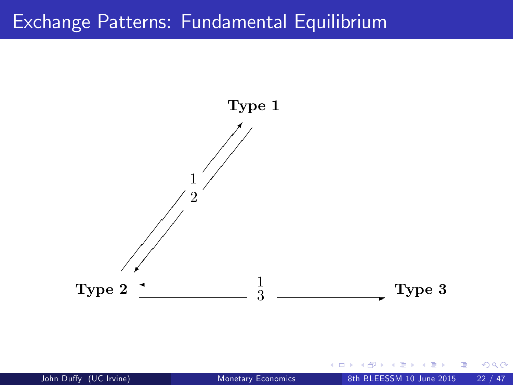#### Exchange Patterns: Fundamental Equilibrium



 $\leftarrow$ 

 $QQ$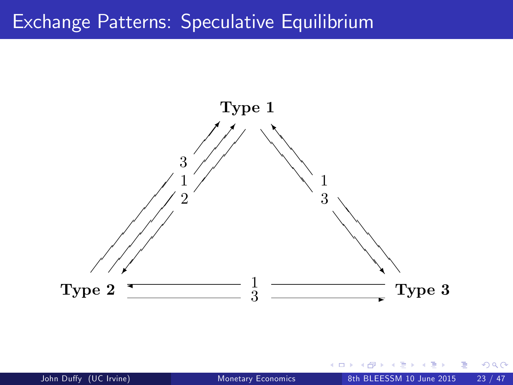#### Exchange Patterns: Speculative Equilibrium



 $\leftarrow$ 

 $QQ$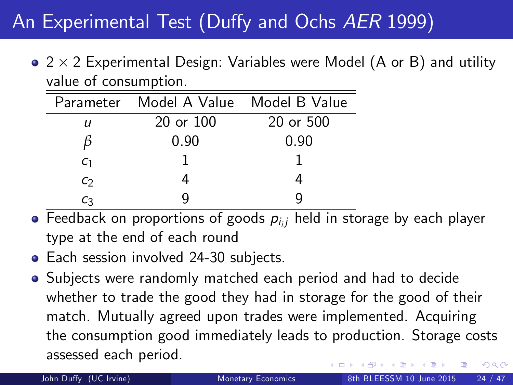## An Experimental Test (Duffy and Ochs AER 1999)

 $2 \times 2$  Experimental Design: Variables were Model (A or B) and utility value of consumption.

|                | Parameter Model A Value Model B Value |           |
|----------------|---------------------------------------|-----------|
| и              | $20$ or $100$                         | 20 or 500 |
|                | 0.90                                  | 0.90      |
| C <sub>1</sub> |                                       |           |
| C)             |                                       |           |
| С٦             |                                       |           |

- Feedback on proportions of goods  $\rho_{i,j}$  held in storage by each player type at the end of each round
- Each session involved 24-30 subjects.
- Subjects were randomly matched each period and had to decide whether to trade the good they had in storage for the good of their match. Mutually agreed upon trades were implemented. Acquiring the consumption good immediately leads to production. Storage costs assessed each period.  $200$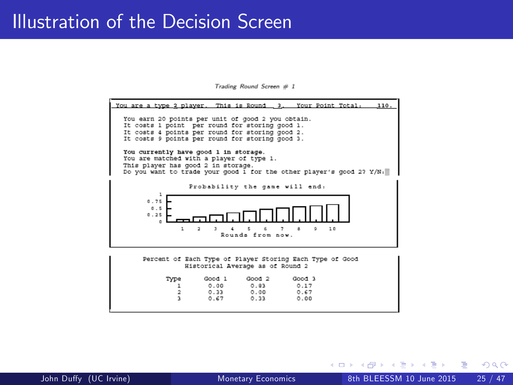#### Illustration of the Decision Screen

Trading Round Screen # 1



イロト イ押ト イヨト イヨト

 $QQ$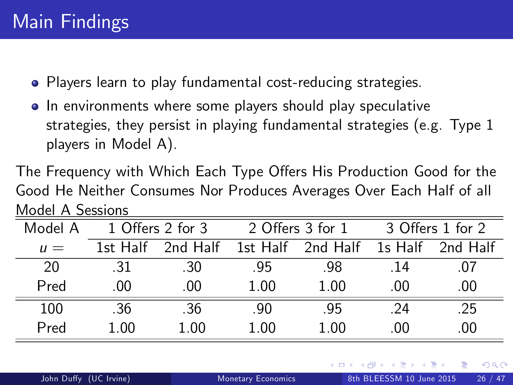- Players learn to play fundamental cost-reducing strategies.
- In environments where some players should play speculative strategies, they persist in playing fundamental strategies (e.g. Type 1 players in Model A).

The Frequency with Which Each Type Offers His Production Good for the Good He Neither Consumes Nor Produces Averages Over Each Half of all Model A Sessions

| Model A | 1 Offers 2 for 3 |          | 2 Offers 3 for 1 |                   | 3 Offers 1 for 2 |          |
|---------|------------------|----------|------------------|-------------------|------------------|----------|
| $\mu =$ | 1st Half         | 2nd Half |                  | 1st Half 2nd Half | 1s Half          | 2nd Half |
| 20      | .31              | -30      | -95              | -98               | -14              | $^{07}$  |
| Pred    | .00              | .00      | 1.00             | 1.00              | .00.             | .00      |
| 100     | .36              | -36      | -90              | -95               | -24              | .25      |
| Pred    | 1 NO             | 1.00     | 1.00             | 1.00              | -00              | .00      |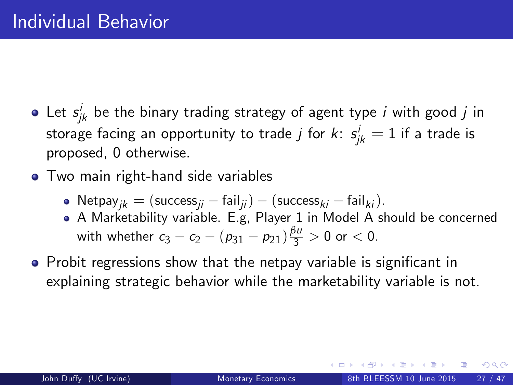- Let  $s_{jk}^i$  be the binary trading strategy of agent type  $i$  with good  $j$  in storage facing an opportunity to trade  $j$  for  $k\colon s_{jk}^i=1$  if a trade is proposed, 0 otherwise.
- **•** Two main right-hand side variables
	- Netpay<sub>ik</sub> = (success<sub>ii</sub> fail<sub>ii</sub>) (success<sub>ki</sub> fail<sub>ki</sub>).
	- A Marketability variable. E.g, Player 1 in Model A should be concerned with whether  $c_3 - c_2 - (p_{31} - p_{21}) \frac{\beta u}{3} > 0$  or  $< 0$ .
- Probit regressions show that the netpay variable is significant in explaining strategic behavior while the marketability variable is not.

<span id="page-27-0"></span>つへへ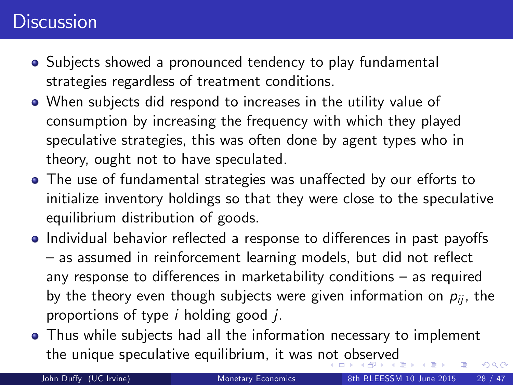### **Discussion**

- Subjects showed a pronounced tendency to play fundamental strategies regardless of treatment conditions.
- When subjects did respond to increases in the utility value of consumption by increasing the frequency with which they played speculative strategies, this was often done by agent types who in theory, ought not to have speculated.
- The use of fundamental strategies was unaffected by our efforts to initialize inventory holdings so that they were close to the speculative equilibrium distribution of goods.
- Individual behavior reflected a response to differences in past payoffs  $-$  as assumed in reinforcement learning models, but did not reflect any response to differences in marketability conditions  $-$  as required by the theory even though subjects were given information on  $p_{ii}$ , the proportions of type  $i$  holding good  $i$ .
- Thus while subjects had all the information necessary to implement the unique speculative equilibrium, it was n[ot](#page-27-0) [ob](#page-29-0)[s](#page-27-0)[er](#page-28-0)[v](#page-29-0)[ed](#page-0-0)  $\Omega$

<span id="page-28-0"></span>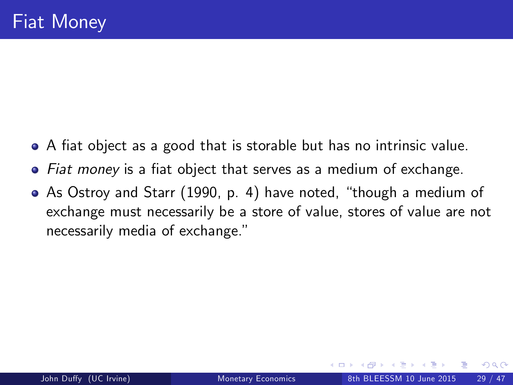- A fiat object as a good that is storable but has no intrinsic value.
- Fiat money is a fiat object that serves as a medium of exchange.
- <span id="page-29-0"></span>• As Ostroy and Starr (1990, p. 4) have noted, "though a medium of exchange must necessarily be a store of value, stores of value are not necessarily media of exchange."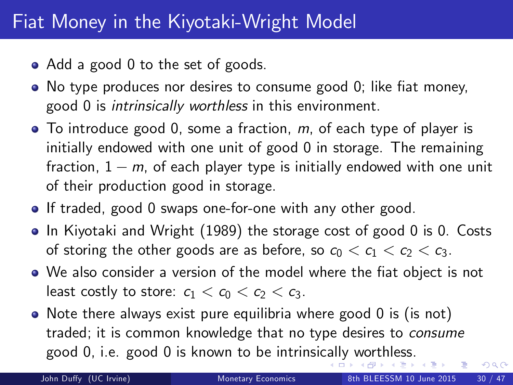## Fiat Money in the Kiyotaki-Wright Model

- Add a good 0 to the set of goods.
- $\bullet$  No type produces nor desires to consume good 0; like fiat money, good 0 is intrinsically worthless in this environment.
- $\bullet$  To introduce good 0, some a fraction,  $m$ , of each type of player is initially endowed with one unit of good 0 in storage. The remaining fraction,  $1 - m$ , of each player type is initially endowed with one unit of their production good in storage.
- If traded, good 0 swaps one-for-one with any other good.
- In Kiyotaki and Wright (1989) the storage cost of good 0 is 0. Costs of storing the other goods are as before, so  $c_0 < c_1 < c_2 < c_3$ .
- We also consider a version of the model where the fiat object is not least costly to store:  $c_1 < c_0 < c_2 < c_3$ .
- <span id="page-30-0"></span>• Note there always exist pure equilibria where good 0 is (is not) traded; it is common knowledge that no type desires to consume good 0, i.e. good 0 is known to be intrinsi[call](#page-29-0)[y](#page-31-0) [w](#page-29-0)[or](#page-30-0)[th](#page-31-0)[le](#page-0-0)[ss.](#page-47-0)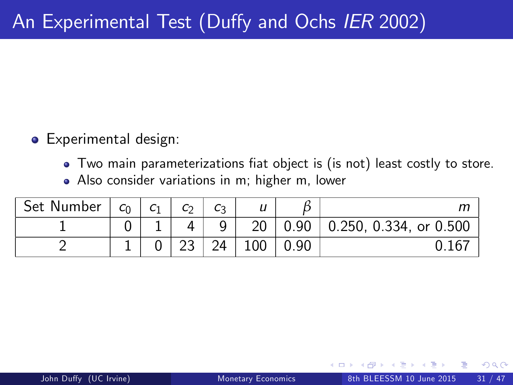- **o** Experimental design:
	- Two main parameterizations fiat object is (is not) least costly to store.
	- Also consider variations in m; higher m, lower

<span id="page-31-0"></span>

| Set Number | $c_0$ | C <sub>1</sub> | C <sub>2</sub> | Cз | u   |      |                                |
|------------|-------|----------------|----------------|----|-----|------|--------------------------------|
|            |       |                |                | q  | 20  | 0.90 | $\vert$ 0.250, 0.334, or 0.500 |
|            |       |                |                | 24 | 100 | 0.90 |                                |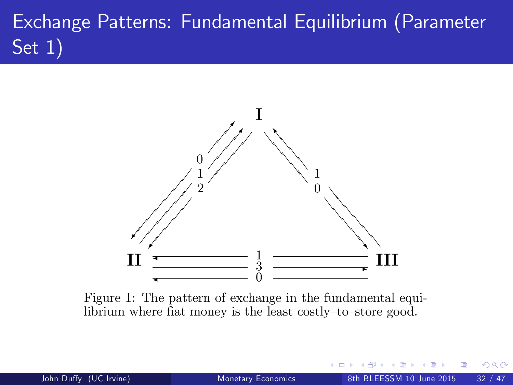# Exchange Patterns: Fundamental Equilibrium (Parameter Set 1)



Figure 1: The pattern of exchange in the fundamental equilibrium where fiat money is the least costly-to-store good.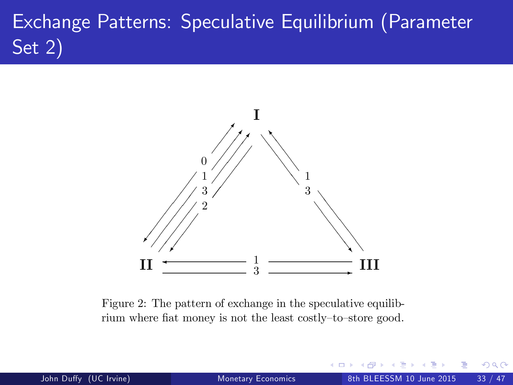## Exchange Patterns: Speculative Equilibrium (Parameter Set 2)



Figure 2: The pattern of exchange in the speculative equilibrium where fiat money is not the least costly-to-store good.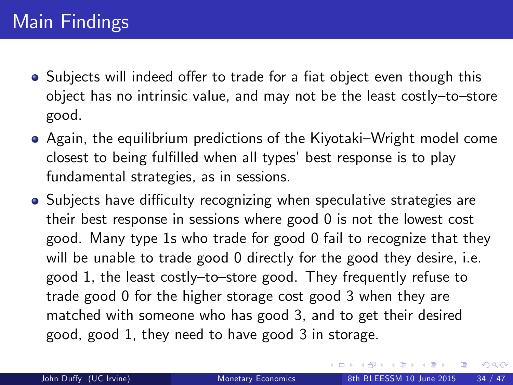- Subiects will indeed offer to trade for a fiat object even though this object has no intrinsic value, and may not be the least costly-to-store good.
- Again, the equilibrium predictions of the Kiyotaki–Wright model come closest to being fulfilled when all types' best response is to play fundamental strategies, as in sessions.
- Subjects have difficulty recognizing when speculative strategies are their best response in sessions where good 0 is not the lowest cost good. Many type 1s who trade for good 0 fail to recognize that they will be unable to trade good 0 directly for the good they desire, i.e. good 1, the least costly-to-store good. They frequently refuse to trade good 0 for the higher storage cost good 3 when they are matched with someone who has good 3, and to get their desired good, good 1, they need to have good 3 in storage.

<span id="page-34-0"></span>医毛囊 医牙骨下的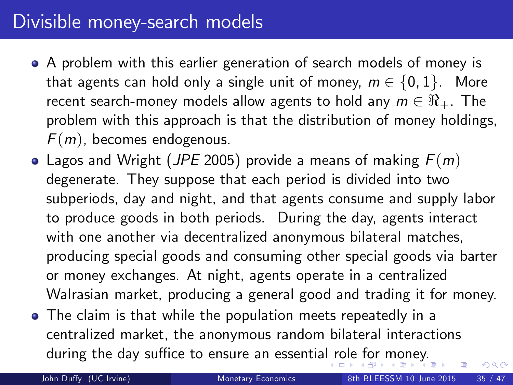## Divisible money-search models

- A problem with this earlier generation of search models of money is that agents can hold only a single unit of money,  $m \in \{0, 1\}$ . More recent search-money models allow agents to hold any  $m \in \Re_{+}$ . The problem with this approach is that the distribution of money holdings,  $F(m)$ , becomes endogenous.
- Lagos and Wright (JPE 2005) provide a means of making  $F(m)$ degenerate. They suppose that each period is divided into two subperiods, day and night, and that agents consume and supply labor to produce goods in both periods. During the day, agents interact with one another via decentralized anonymous bilateral matches, producing special goods and consuming other special goods via barter or money exchanges. At night, agents operate in a centralized Walrasian market, producing a general good and trading it for money.
- The claim is that while the population meets repeatedly in a centralized market, the anonymous random bilateral interactions during the day suffice to ensure an essentia[l r](#page-34-0)[ole](#page-36-0) [f](#page-34-0)[or](#page-35-0)[mo](#page-0-0)[ne](#page-47-0)[y.](#page-0-0)

<span id="page-35-0"></span>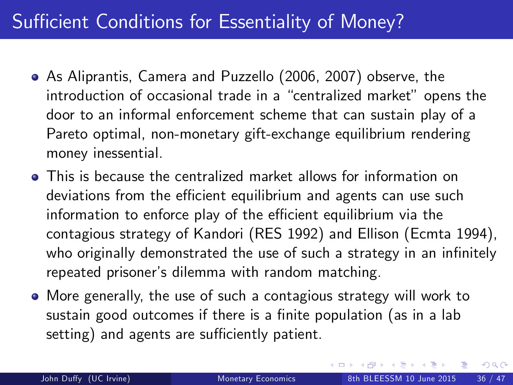## Sufficient Conditions for Essentiality of Money?

- As Aliprantis, Camera and Puzzello (2006, 2007) observe, the introduction of occasional trade in a "centralized market" opens the door to an informal enforcement scheme that can sustain play of a Pareto optimal, non-monetary gift-exchange equilibrium rendering money inessential.
- This is because the centralized market allows for information on deviations from the efficient equilibrium and agents can use such information to enforce play of the efficient equilibrium via the contagious strategy of Kandori (RES 1992) and Ellison (Ecmta 1994), who originally demonstrated the use of such a strategy in an infinitely repeated prisoner's dilemma with random matching.
- <span id="page-36-0"></span>More generally, the use of such a contagious strategy will work to sustain good outcomes if there is a finite population (as in a lab setting) and agents are sufficiently patient.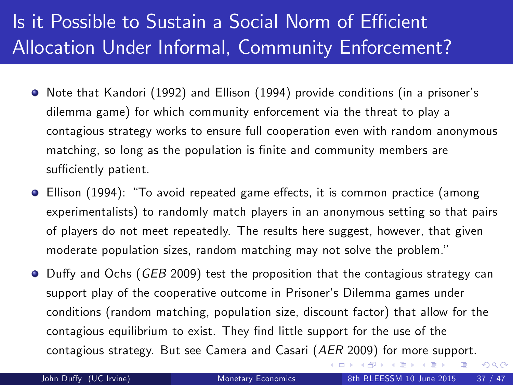## Is it Possible to Sustain a Social Norm of Efficient Allocation Under Informal, Community Enforcement?

- Note that Kandori (1992) and Ellison (1994) provide conditions (in a prisonerís dilemma game) for which community enforcement via the threat to play a contagious strategy works to ensure full cooperation even with random anonymous matching, so long as the population is finite and community members are sufficiently patient.
- **O** Ellison (1994): "To avoid repeated game effects, it is common practice (among experimentalists) to randomly match players in an anonymous setting so that pairs of players do not meet repeatedly. The results here suggest, however, that given moderate population sizes, random matching may not solve the problem."
- <span id="page-37-0"></span>● Duffy and Ochs (GEB 2009) test the proposition that the contagious strategy can support play of the cooperative outcome in Prisoner's Dilemma games under conditions (random matching, population size, discount factor) that allow for the contagious equilibrium to exist. They find little support for the use of the contagious strategy. But see Camera and Casari (AER 2009) for more support.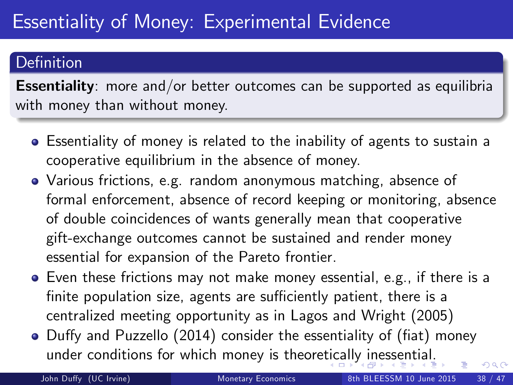#### Definition

**Essentiality**: more and/or better outcomes can be supported as equilibria with money than without money.

- Essentiality of money is related to the inability of agents to sustain a cooperative equilibrium in the absence of money.
- Various frictions, e.g. random anonymous matching, absence of formal enforcement, absence of record keeping or monitoring, absence of double coincidences of wants generally mean that cooperative gift-exchange outcomes cannot be sustained and render money essential for expansion of the Pareto frontier.
- Even these frictions may not make money essential, e.g., if there is a finite population size, agents are sufficiently patient, there is a centralized meeting opportunity as in Lagos and Wright (2005)
- Duffy and Puzzello (2014) consider the essentiality of (fiat) money under conditions for which money is theore[tic](#page-37-0)[all](#page-39-0)[y](#page-37-0) [in](#page-38-0)[e](#page-39-0)[sse](#page-0-0)[nt](#page-47-0)[ial](#page-0-0)[.](#page-47-0)

<span id="page-38-0"></span>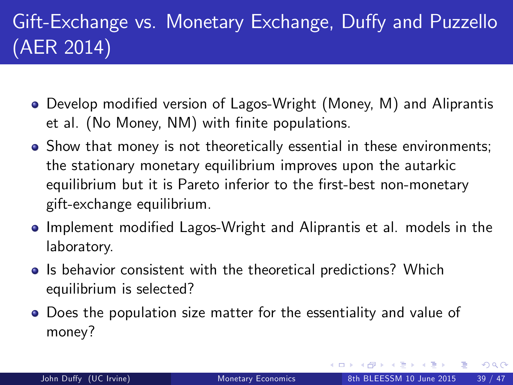## Gift-Exchange vs. Monetary Exchange, Duffy and Puzzello (AER 2014)

- Develop modified version of Lagos-Wright (Money, M) and Aliprantis et al. (No Money, NM) with finite populations.
- Show that money is not theoretically essential in these environments; the stationary monetary equilibrium improves upon the autarkic equilibrium but it is Pareto inferior to the first-best non-monetary gift-exchange equilibrium.
- Implement modified Lagos-Wright and Aliprantis et al. models in the laboratory.
- **In** Is behavior consistent with the theoretical predictions? Which equilibrium is selected?
- <span id="page-39-0"></span>Does the population size matter for the essentiality and value of money?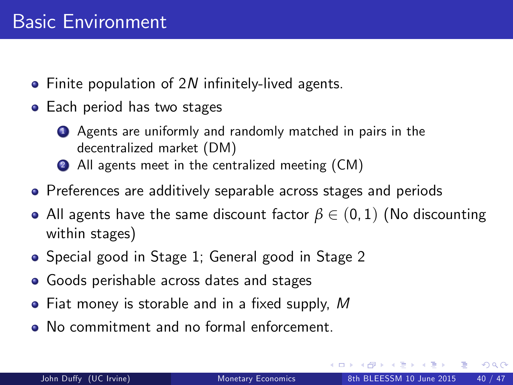- $\bullet$  Finite population of 2N infinitely-lived agents.
- Each period has two stages
	- <sup>1</sup> Agents are uniformly and randomly matched in pairs in the decentralized market (DM)
	- 2 All agents meet in the centralized meeting (CM)
- **•** Preferences are additively separable across stages and periods
- All agents have the same discount factor  $\beta \in (0, 1)$  (No discounting within stages)
- Special good in Stage 1; General good in Stage 2
- **•** Goods perishable across dates and stages
- $\bullet$  Fiat money is storable and in a fixed supply, M
- No commitment and no formal enforcement.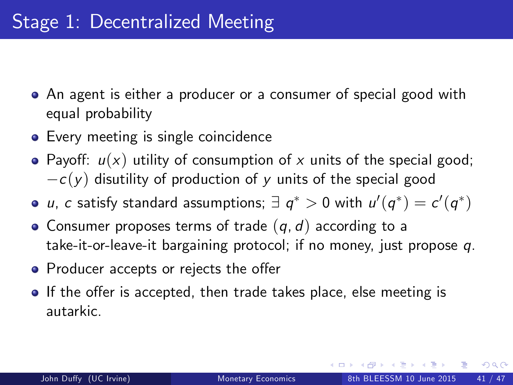- An agent is either a producer or a consumer of special good with equal probability
- Every meeting is single coincidence
- Payoff:  $u(x)$  utility of consumption of x units of the special good;  $-c(y)$  disutility of production of y units of the special good
- u, c satisfy standard assumptions;  $\exists q^* > 0$  with  $u'(q^*) = c'(q^*)$
- Consumer proposes terms of trade  $(q, d)$  according to a take-it-or-leave-it bargaining protocol; if no money, just propose q.
- Producer accepts or rejects the offer
- If the offer is accepted, then trade takes place, else meeting is autarkic.

 $200$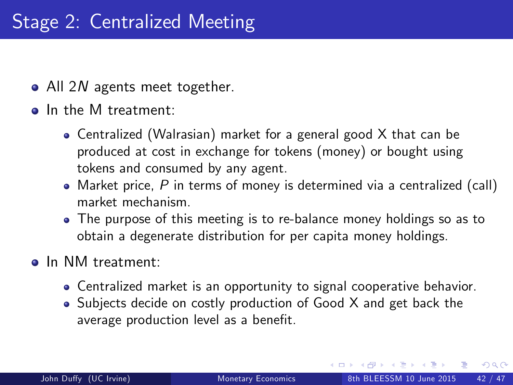- All 2N agents meet together.
- o In the M treatment:
	- Centralized (Walrasian) market for a general good X that can be produced at cost in exchange for tokens (money) or bought using tokens and consumed by any agent.
	- Market price,  $P$  in terms of money is determined via a centralized (call) market mechanism.
	- The purpose of this meeting is to re-balance money holdings so as to obtain a degenerate distribution for per capita money holdings.
- o In NM treatment:
	- Centralized market is an opportunity to signal cooperative behavior.
	- Subjects decide on costly production of Good X and get back the average production level as a benefit.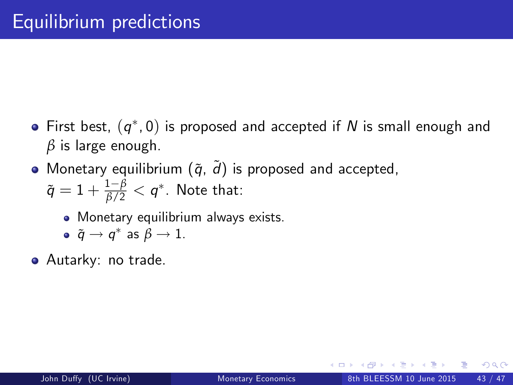- First best,  $\left( q^{\ast},0\right)$  is proposed and accepted if  $N$  is small enough and *β* is large enough.
- Monetary equilibrium  $(\tilde{q}, \tilde{d})$  is proposed and accepted,  $\tilde{q}=1+\frac{1-\beta}{\beta/2}< q^*.$  Note that:
	- Monetary equilibrium always exists.
	- $\tilde{q} \rightarrow q^*$  as  $\beta \rightarrow 1$ .
- Autarky: no trade.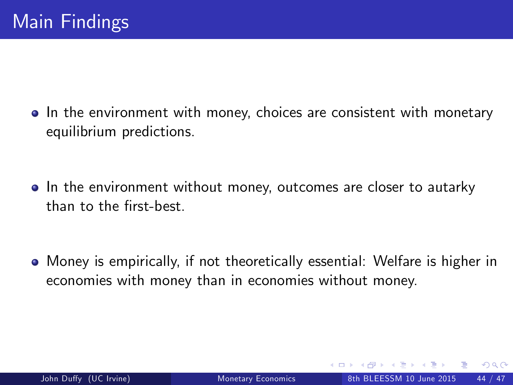• In the environment with money, choices are consistent with monetary equilibrium predictions.

• In the environment without money, outcomes are closer to autarky than to the first-best.

Money is empirically, if not theoretically essential: Welfare is higher in economies with money than in economies without money.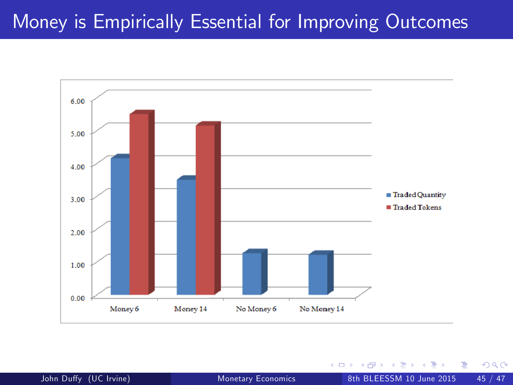### Money is Empirically Essential for Improving Outcomes



4 0 8

 $299$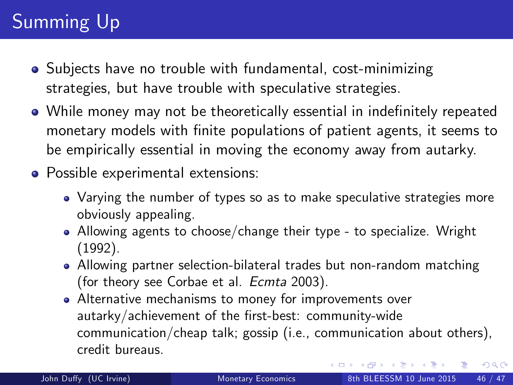## Summing Up

- Subjects have no trouble with fundamental, cost-minimizing strategies, but have trouble with speculative strategies.
- While money may not be theoretically essential in indefinitely repeated monetary models with finite populations of patient agents, it seems to be empirically essential in moving the economy away from autarky.
- <span id="page-46-0"></span>Possible experimental extensions:
	- Varying the number of types so as to make speculative strategies more obviously appealing.
	- Allowing agents to choose/change their type to specialize. Wright (1992).
	- Allowing partner selection-bilateral trades but non-random matching (for theory see Corbae et al. Ecmta 2003).
	- Alternative mechanisms to money for improvements over autarky/achievement of the first-best: community-wide communication/cheap talk; gossip (i.e., communication about others), credit bureaus.